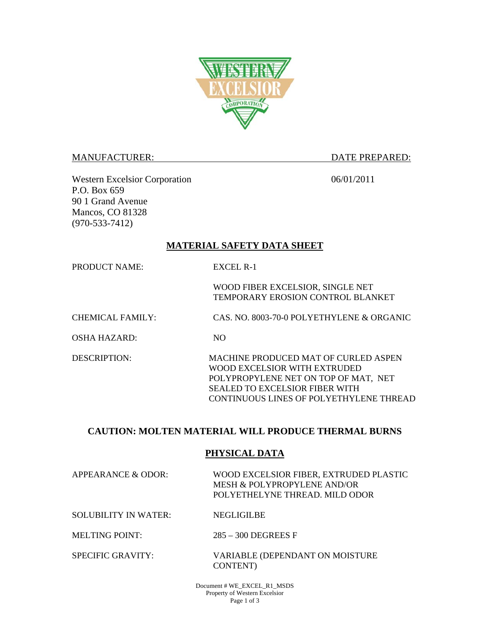

#### MANUFACTURER: DATE PREPARED:

Western Excelsior Corporation 06/01/2011 P.O. Box 659 90 1 Grand Avenue Mancos, CO 81328 (970-533-7412)

### **MATERIAL SAFETY DATA SHEET**

PRODUCT NAME: EXCEL R-1

WOOD FIBER EXCELSIOR, SINGLE NET TEMPORARY EROSION CONTROL BLANKET

CHEMICAL FAMILY: CAS. NO. 8003-70-0 POLYETHYLENE & ORGANIC

OSHA HAZARD: NO

DESCRIPTION: MACHINE PRODUCED MAT OF CURLED ASPEN WOOD EXCELSIOR WITH EXTRUDED POLYPROPYLENE NET ON TOP OF MAT, NET SEALED TO EXCELSIOR FIBER WITH CONTINUOUS LINES OF POLYETHYLENE THREAD

# **CAUTION: MOLTEN MATERIAL WILL PRODUCE THERMAL BURNS**

### **PHYSICAL DATA**

| APPEARANCE & ODOR:   | WOOD EXCELSIOR FIBER. EXTRUDED PLASTIC<br>MESH & POLYPROPYLENE AND/OR<br>POLYETHELYNE THREAD. MILD ODOR |
|----------------------|---------------------------------------------------------------------------------------------------------|
| SOLUBILITY IN WATER: | <b>NEGLIGILBE</b>                                                                                       |
|                      |                                                                                                         |

MELTING POINT: 285 – 300 DEGREES F

SPECIFIC GRAVITY: VARIABLE (DEPENDANT ON MOISTURE CONTENT)

> Document # WE\_EXCEL\_R1\_MSDS Property of Western Excelsior Page 1 of 3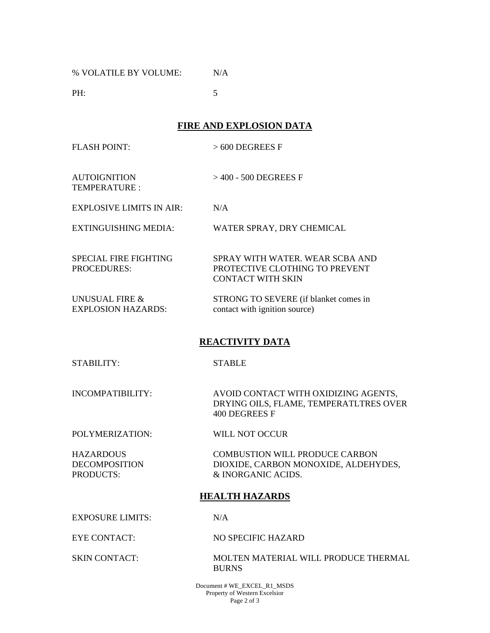% VOLATILE BY VOLUME: N/A

**PH:** 5

**FIRE AND EXPLOSION DATA** 

FLASH POINT: > 600 DEGREES F

AUTOIGNITION TEMPERATURE : > 400 - 500 DEGREES F

EXPLOSIVE LIMITS IN AIR: N/A

EXTINGUISHING MEDIA: WATER SPRAY, DRY CHEMICAL

SPECIAL FIRE FIGHTING PROCEDURES: SPRAY WITH WATER. WEAR SCBA AND PROTECTIVE CLOTHING TO PREVENT CONTACT WITH SKIN

UNUSUAL FIRE & EXPLOSION HAZARDS: STRONG TO SEVERE (if blanket comes in contact with ignition source)

# **REACTIVITY DATA**

STABILITY: STABLE

INCOMPATIBILITY: AVOID CONTACT WITH OXIDIZING AGENTS, DRYING OILS, FLAME, TEMPERATLTRES OVER 400 DEGREES F

POLYMERIZATION: WILL NOT OCCUR

**HAZARDOUS** DECOMPOSITION PRODUCTS:

 COMBUSTION WILL PRODUCE CARBON DIOXIDE, CARBON MONOXIDE, ALDEHYDES, & INORGANIC ACIDS.

### **HEALTH HAZARDS**

EXPOSURE LIMITS: N/A

EYE CONTACT: NO SPECIFIC HAZARD

SKIN CONTACT: MOLTEN MATERIAL WILL PRODUCE THERMAL BURNS

> Document # WE\_EXCEL\_R1\_MSDS Property of Western Excelsior Page 2 of 3